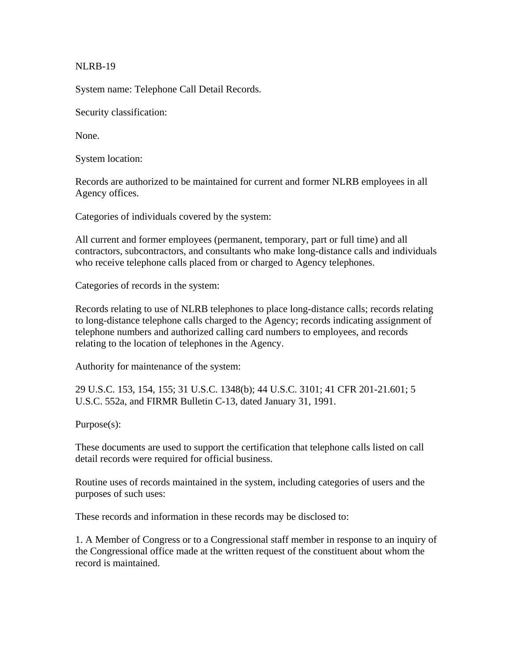NLRB-19

System name: Telephone Call Detail Records.

Security classification:

None.

System location:

Records are authorized to be maintained for current and former NLRB employees in all Agency offices.

Categories of individuals covered by the system:

All current and former employees (permanent, temporary, part or full time) and all contractors, subcontractors, and consultants who make long-distance calls and individuals who receive telephone calls placed from or charged to Agency telephones.

Categories of records in the system:

Records relating to use of NLRB telephones to place long-distance calls; records relating to long-distance telephone calls charged to the Agency; records indicating assignment of telephone numbers and authorized calling card numbers to employees, and records relating to the location of telephones in the Agency.

Authority for maintenance of the system:

29 U.S.C. 153, 154, 155; 31 U.S.C. 1348(b); 44 U.S.C. 3101; 41 CFR 201-21.601; 5 U.S.C. 552a, and FIRMR Bulletin C-13, dated January 31, 1991.

Purpose(s):

These documents are used to support the certification that telephone calls listed on call detail records were required for official business.

Routine uses of records maintained in the system, including categories of users and the purposes of such uses:

These records and information in these records may be disclosed to:

1. A Member of Congress or to a Congressional staff member in response to an inquiry of the Congressional office made at the written request of the constituent about whom the record is maintained.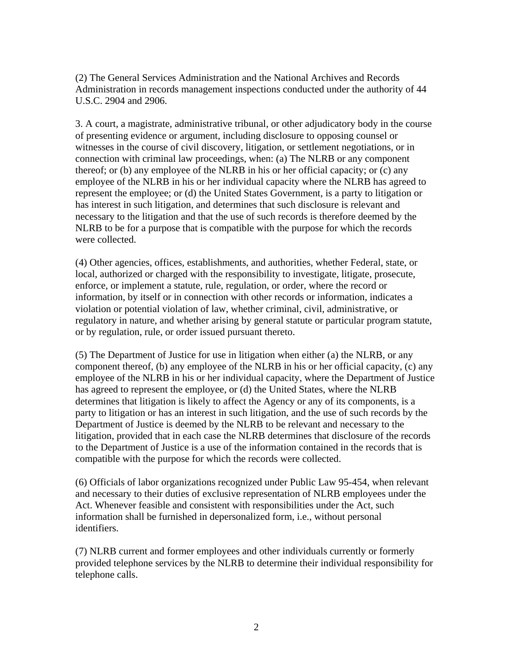(2) The General Services Administration and the National Archives and Records Administration in records management inspections conducted under the authority of 44 U.S.C. 2904 and 2906.

3. A court, a magistrate, administrative tribunal, or other adjudicatory body in the course of presenting evidence or argument, including disclosure to opposing counsel or witnesses in the course of civil discovery, litigation, or settlement negotiations, or in connection with criminal law proceedings, when: (a) The NLRB or any component thereof; or (b) any employee of the NLRB in his or her official capacity; or (c) any employee of the NLRB in his or her individual capacity where the NLRB has agreed to represent the employee; or (d) the United States Government, is a party to litigation or has interest in such litigation, and determines that such disclosure is relevant and necessary to the litigation and that the use of such records is therefore deemed by the NLRB to be for a purpose that is compatible with the purpose for which the records were collected.

(4) Other agencies, offices, establishments, and authorities, whether Federal, state, or local, authorized or charged with the responsibility to investigate, litigate, prosecute, enforce, or implement a statute, rule, regulation, or order, where the record or information, by itself or in connection with other records or information, indicates a violation or potential violation of law, whether criminal, civil, administrative, or regulatory in nature, and whether arising by general statute or particular program statute, or by regulation, rule, or order issued pursuant thereto.

(5) The Department of Justice for use in litigation when either (a) the NLRB, or any component thereof, (b) any employee of the NLRB in his or her official capacity, (c) any employee of the NLRB in his or her individual capacity, where the Department of Justice has agreed to represent the employee, or (d) the United States, where the NLRB determines that litigation is likely to affect the Agency or any of its components, is a party to litigation or has an interest in such litigation, and the use of such records by the Department of Justice is deemed by the NLRB to be relevant and necessary to the litigation, provided that in each case the NLRB determines that disclosure of the records to the Department of Justice is a use of the information contained in the records that is compatible with the purpose for which the records were collected.

(6) Officials of labor organizations recognized under Public Law 95-454, when relevant and necessary to their duties of exclusive representation of NLRB employees under the Act. Whenever feasible and consistent with responsibilities under the Act, such information shall be furnished in depersonalized form, i.e., without personal identifiers.

(7) NLRB current and former employees and other individuals currently or formerly provided telephone services by the NLRB to determine their individual responsibility for telephone calls.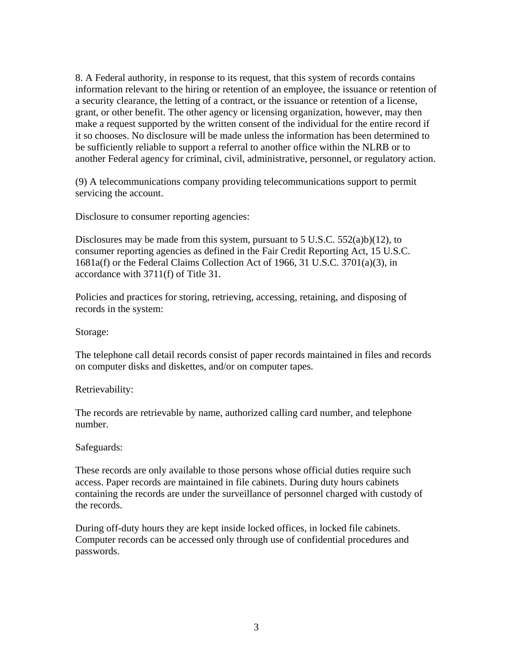8. A Federal authority, in response to its request, that this system of records contains information relevant to the hiring or retention of an employee, the issuance or retention of a security clearance, the letting of a contract, or the issuance or retention of a license, grant, or other benefit. The other agency or licensing organization, however, may then make a request supported by the written consent of the individual for the entire record if it so chooses. No disclosure will be made unless the information has been determined to be sufficiently reliable to support a referral to another office within the NLRB or to another Federal agency for criminal, civil, administrative, personnel, or regulatory action.

(9) A telecommunications company providing telecommunications support to permit servicing the account.

Disclosure to consumer reporting agencies:

Disclosures may be made from this system, pursuant to 5 U.S.C.  $552(a)b(12)$ , to consumer reporting agencies as defined in the Fair Credit Reporting Act, 15 U.S.C. 1681a(f) or the Federal Claims Collection Act of 1966, 31 U.S.C. 3701(a)(3), in accordance with 3711(f) of Title 31.

Policies and practices for storing, retrieving, accessing, retaining, and disposing of records in the system:

Storage:

The telephone call detail records consist of paper records maintained in files and records on computer disks and diskettes, and/or on computer tapes.

Retrievability:

The records are retrievable by name, authorized calling card number, and telephone number.

Safeguards:

These records are only available to those persons whose official duties require such access. Paper records are maintained in file cabinets. During duty hours cabinets containing the records are under the surveillance of personnel charged with custody of the records.

During off-duty hours they are kept inside locked offices, in locked file cabinets. Computer records can be accessed only through use of confidential procedures and passwords.